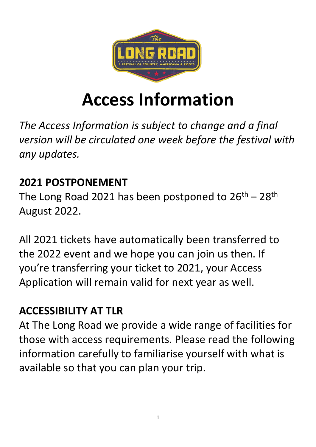

# **Access Information**

*The Access Information is subject to change and a final version will be circulated one week before the festival with any updates.*

## **2021 POSTPONEMENT**

The Long Road 2021 has been postponed to  $26^{th} - 28^{th}$ August 2022.

All 2021 tickets have automatically been transferred to the 2022 event and we hope you can join us then. If you're transferring your ticket to 2021, your Access Application will remain valid for next year as well.

# **ACCESSIBILITY AT TLR**

At The Long Road we provide a wide range of facilities for those with access requirements. Please read the following information carefully to familiarise yourself with what is available so that you can plan your trip.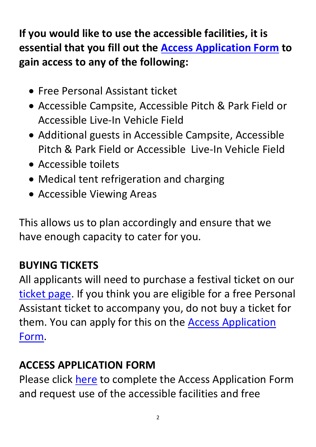**If you would like to use the accessible facilities, it is essential that you fill out the [Access Application Form](https://docs.google.com/forms/d/e/1FAIpQLSewrcDrLXnUdjRyttyZqNcY_w2dg5gYZCveBxWF4tYt-t510w/viewform) to gain access to any of the following:**

- Free Personal Assistant ticket
- Accessible Campsite, Accessible Pitch & Park Field or Accessible Live-In Vehicle Field
- Additional guests in Accessible Campsite, Accessible Pitch & Park Field or Accessible Live-In Vehicle Field
- Accessible toilets
- Medical tent refrigeration and charging
- Accessible Viewing Areas

This allows us to plan accordingly and ensure that we have enough capacity to cater for you.

## **BUYING TICKETS**

All applicants will need to purchase a festival ticket on our [ticket page.](https://www.thelongroad.com/tickets/) If you think you are eligible for a free Personal Assistant ticket to accompany you, do not buy a ticket for them. You can apply for this on the [Access Application](https://docs.google.com/forms/d/e/1FAIpQLSewrcDrLXnUdjRyttyZqNcY_w2dg5gYZCveBxWF4tYt-t510w/viewform)  [Form.](https://docs.google.com/forms/d/e/1FAIpQLSewrcDrLXnUdjRyttyZqNcY_w2dg5gYZCveBxWF4tYt-t510w/viewform)

#### **ACCESS APPLICATION FORM**

Please click [here](https://docs.google.com/forms/d/e/1FAIpQLSewrcDrLXnUdjRyttyZqNcY_w2dg5gYZCveBxWF4tYt-t510w/viewform) to complete the Access Application Form and request use of the accessible facilities and free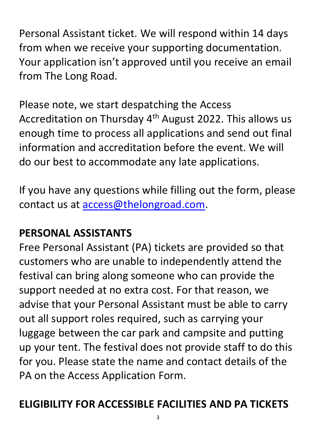Personal Assistant ticket. We will respond within 14 days from when we receive your supporting documentation. Your application isn't approved until you receive an email from The Long Road.

Please note, we start despatching the Access Accreditation on Thursday 4<sup>th</sup> August 2022. This allows us enough time to process all applications and send out final information and accreditation before the event. We will do our best to accommodate any late applications.

If you have any questions while filling out the form, please contact us at [access@thelongroad.com.](mailto:access@thelongroad.com)

## **PERSONAL ASSISTANTS**

Free Personal Assistant (PA) tickets are provided so that customers who are unable to independently attend the festival can bring along someone who can provide the support needed at no extra cost. For that reason, we advise that your Personal Assistant must be able to carry out all support roles required, such as carrying your luggage between the car park and campsite and putting up your tent. The festival does not provide staff to do this for you. Please state the name and contact details of the PA on the Access Application Form.

#### **ELIGIBILITY FOR ACCESSIBLE FACILITIES AND PA TICKETS**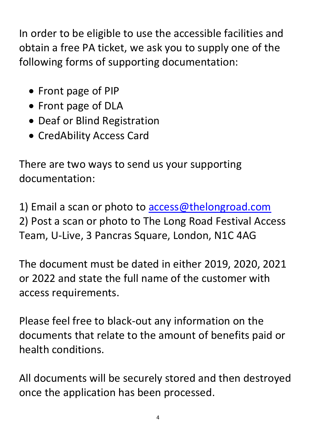In order to be eligible to use the accessible facilities and obtain a free PA ticket, we ask you to supply one of the following forms of supporting documentation:

- Front page of PIP
- Front page of DLA
- Deaf or Blind Registration
- CredAbility Access Card

There are two ways to send us your supporting documentation:

1) Email a scan or photo to [access@thelongroad.com](mailto:access@thelongroad.com) 2) Post a scan or photo to The Long Road Festival Access Team, U-Live, 3 Pancras Square, London, N1C 4AG

The document must be dated in either 2019, 2020, 2021 or 2022 and state the full name of the customer with access requirements.

Please feel free to black-out any information on the documents that relate to the amount of benefits paid or health conditions.

All documents will be securely stored and then destroyed once the application has been processed.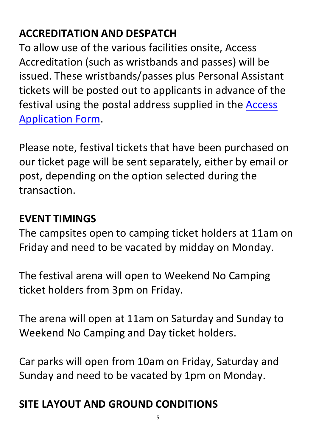# **ACCREDITATION AND DESPATCH**

To allow use of the various facilities onsite, Access Accreditation (such as wristbands and passes) will be issued. These wristbands/passes plus Personal Assistant tickets will be posted out to applicants in advance of the festival using the postal address supplied in the [Access](https://docs.google.com/forms/d/e/1FAIpQLSewrcDrLXnUdjRyttyZqNcY_w2dg5gYZCveBxWF4tYt-t510w/viewform)  [Application Form.](https://docs.google.com/forms/d/e/1FAIpQLSewrcDrLXnUdjRyttyZqNcY_w2dg5gYZCveBxWF4tYt-t510w/viewform)

Please note, festival tickets that have been purchased on our ticket page will be sent separately, either by email or post, depending on the option selected during the transaction.

#### **EVENT TIMINGS**

The campsites open to camping ticket holders at 11am on Friday and need to be vacated by midday on Monday.

The festival arena will open to Weekend No Camping ticket holders from 3pm on Friday.

The arena will open at 11am on Saturday and Sunday to Weekend No Camping and Day ticket holders.

Car parks will open from 10am on Friday, Saturday and Sunday and need to be vacated by 1pm on Monday.

# **SITE LAYOUT AND GROUND CONDITIONS**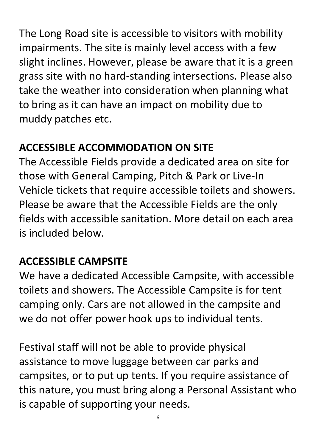The Long Road site is accessible to visitors with mobility impairments. The site is mainly level access with a few slight inclines. However, please be aware that it is a green grass site with no hard-standing intersections. Please also take the weather into consideration when planning what to bring as it can have an impact on mobility due to muddy patches etc.

# **ACCESSIBLE ACCOMMODATION ON SITE**

The Accessible Fields provide a dedicated area on site for those with General Camping, Pitch & Park or Live-In Vehicle tickets that require accessible toilets and showers. Please be aware that the Accessible Fields are the only fields with accessible sanitation. More detail on each area is included below.

## **ACCESSIBLE CAMPSITE**

We have a dedicated Accessible Campsite, with accessible toilets and showers. The Accessible Campsite is for tent camping only. Cars are not allowed in the campsite and we do not offer power hook ups to individual tents.

Festival staff will not be able to provide physical assistance to move luggage between car parks and campsites, or to put up tents. If you require assistance of this nature, you must bring along a Personal Assistant who is capable of supporting your needs.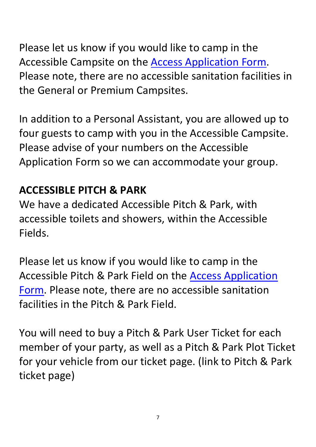Please let us know if you would like to camp in the Accessible Campsite on the [Access Application Form.](https://docs.google.com/forms/d/e/1FAIpQLSewrcDrLXnUdjRyttyZqNcY_w2dg5gYZCveBxWF4tYt-t510w/viewform) Please note, there are no accessible sanitation facilities in the General or Premium Campsites.

In addition to a Personal Assistant, you are allowed up to four guests to camp with you in the Accessible Campsite. Please advise of your numbers on the Accessible Application Form so we can accommodate your group.

#### **ACCESSIBLE PITCH & PARK**

We have a dedicated Accessible Pitch & Park, with accessible toilets and showers, within the Accessible Fields.

Please let us know if you would like to camp in the Accessible Pitch & Park Field on the [Access Application](https://docs.google.com/forms/d/e/1FAIpQLSewrcDrLXnUdjRyttyZqNcY_w2dg5gYZCveBxWF4tYt-t510w/viewform)  [Form.](https://docs.google.com/forms/d/e/1FAIpQLSewrcDrLXnUdjRyttyZqNcY_w2dg5gYZCveBxWF4tYt-t510w/viewform) Please note, there are no accessible sanitation facilities in the Pitch & Park Field.

You will need to buy a Pitch & Park User Ticket for each member of your party, as well as a Pitch & Park Plot Ticket for your vehicle from our ticket page. (link to Pitch & Park ticket page)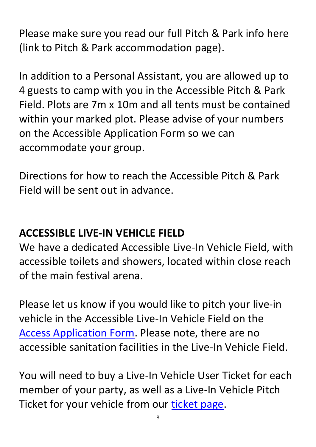Please make sure you read our full Pitch & Park info here (link to Pitch & Park accommodation page).

In addition to a Personal Assistant, you are allowed up to 4 guests to camp with you in the Accessible Pitch & Park Field. Plots are 7m x 10m and all tents must be contained within your marked plot. Please advise of your numbers on the Accessible Application Form so we can accommodate your group.

Directions for how to reach the Accessible Pitch & Park Field will be sent out in advance.

#### **ACCESSIBLE LIVE-IN VEHICLE FIELD**

We have a dedicated Accessible Live-In Vehicle Field, with accessible toilets and showers, located within close reach of the main festival arena.

Please let us know if you would like to pitch your live-in vehicle in the Accessible Live-In Vehicle Field on the [Access Application Form.](https://docs.google.com/forms/d/e/1FAIpQLSewrcDrLXnUdjRyttyZqNcY_w2dg5gYZCveBxWF4tYt-t510w/viewform) Please note, there are no accessible sanitation facilities in the Live-In Vehicle Field.

You will need to buy a Live-In Vehicle User Ticket for each member of your party, as well as a Live-In Vehicle Pitch Ticket for your vehicle from our [ticket page.](https://www.thelongroad.com/tickets/)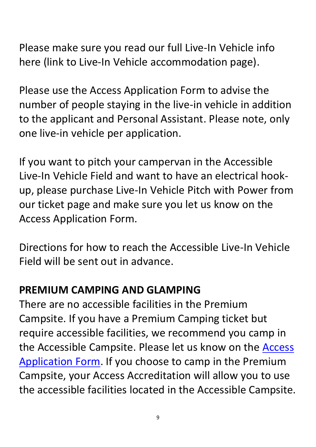Please make sure you read our full Live-In Vehicle info here (link to Live-In Vehicle accommodation page).

Please use the Access Application Form to advise the number of people staying in the live-in vehicle in addition to the applicant and Personal Assistant. Please note, only one live-in vehicle per application.

If you want to pitch your campervan in the Accessible Live-In Vehicle Field and want to have an electrical hookup, please purchase Live-In Vehicle Pitch with Power from our ticket page and make sure you let us know on the Access Application Form.

Directions for how to reach the Accessible Live-In Vehicle Field will be sent out in advance.

#### **PREMIUM CAMPING AND GLAMPING**

There are no accessible facilities in the Premium Campsite. If you have a Premium Camping ticket but require accessible facilities, we recommend you camp in the Accessible Campsite. Please let us know on the [Access](https://docs.google.com/forms/d/e/1FAIpQLSewrcDrLXnUdjRyttyZqNcY_w2dg5gYZCveBxWF4tYt-t510w/viewform)  [Application Form.](https://docs.google.com/forms/d/e/1FAIpQLSewrcDrLXnUdjRyttyZqNcY_w2dg5gYZCveBxWF4tYt-t510w/viewform) If you choose to camp in the Premium Campsite, your Access Accreditation will allow you to use the accessible facilities located in the Accessible Campsite.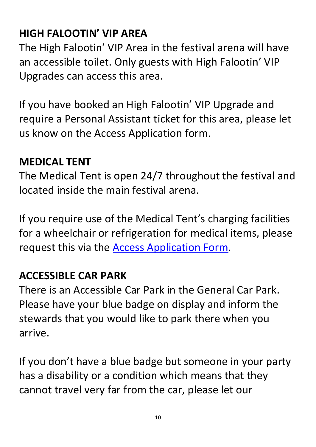# **HIGH FALOOTIN' VIP AREA**

The High Falootin' VIP Area in the festival arena will have an accessible toilet. Only guests with High Falootin' VIP Upgrades can access this area.

If you have booked an High Falootin' VIP Upgrade and require a Personal Assistant ticket for this area, please let us know on the Access Application form.

#### **MEDICAL TENT**

The Medical Tent is open 24/7 throughout the festival and located inside the main festival arena.

If you require use of the Medical Tent's charging facilities for a wheelchair or refrigeration for medical items, please request this via the [Access Application Form.](https://docs.google.com/forms/d/e/1FAIpQLSewrcDrLXnUdjRyttyZqNcY_w2dg5gYZCveBxWF4tYt-t510w/viewform)

#### **ACCESSIBLE CAR PARK**

There is an Accessible Car Park in the General Car Park. Please have your blue badge on display and inform the stewards that you would like to park there when you arrive.

If you don't have a blue badge but someone in your party has a disability or a condition which means that they cannot travel very far from the car, please let our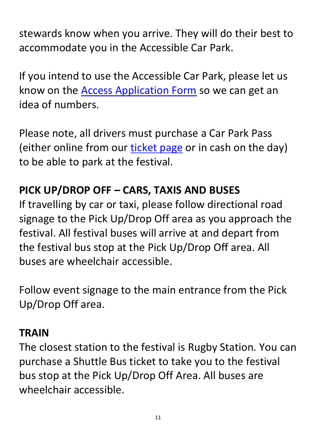stewards know when you arrive. They will do their best to accommodate you in the Accessible Car Park.

If you intend to use the Accessible Car Park, please let us know on the [Access Application Form](https://docs.google.com/forms/d/e/1FAIpQLSewrcDrLXnUdjRyttyZqNcY_w2dg5gYZCveBxWF4tYt-t510w/viewform) so we can get an idea of numbers.

Please note, all drivers must purchase a Car Park Pass (either online from our [ticket page](https://www.thelongroad.com/tickets/) or in cash on the day) to be able to park at the festival.

## **PICK UP/DROP OFF – CARS, TAXIS AND BUSES**

If travelling by car or taxi, please follow directional road signage to the Pick Up/Drop Off area as you approach the festival. All festival buses will arrive at and depart from the festival bus stop at the Pick Up/Drop Off area. All buses are wheelchair accessible.

Follow event signage to the main entrance from the Pick Up/Drop Off area.

#### **TRAIN**

The closest station to the festival is Rugby Station. You can purchase a Shuttle Bus ticket to take you to the festival bus stop at the Pick Up/Drop Off Area. All buses are wheelchair accessible.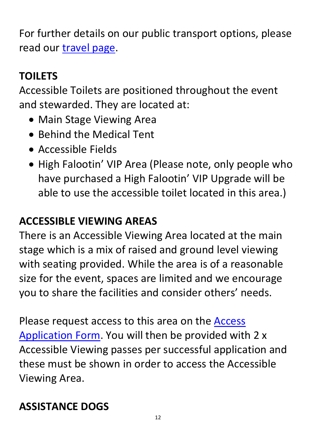For further details on our public transport options, please read our [travel page.](https://www.thelongroad.com/information/travel/)

# **TOILETS**

Accessible Toilets are positioned throughout the event and stewarded. They are located at:

- Main Stage Viewing Area
- Behind the Medical Tent
- Accessible Fields
- High Falootin' VIP Area (Please note, only people who have purchased a High Falootin' VIP Upgrade will be able to use the accessible toilet located in this area.)

## **ACCESSIBLE VIEWING AREAS**

There is an Accessible Viewing Area located at the main stage which is a mix of raised and ground level viewing with seating provided. While the area is of a reasonable size for the event, spaces are limited and we encourage you to share the facilities and consider others' needs.

Please request access to this area on the [Access](https://docs.google.com/forms/d/e/1FAIpQLSewrcDrLXnUdjRyttyZqNcY_w2dg5gYZCveBxWF4tYt-t510w/viewform)  [Application Form.](https://docs.google.com/forms/d/e/1FAIpQLSewrcDrLXnUdjRyttyZqNcY_w2dg5gYZCveBxWF4tYt-t510w/viewform) You will then be provided with 2 x Accessible Viewing passes per successful application and these must be shown in order to access the Accessible Viewing Area.

# **ASSISTANCE DOGS**